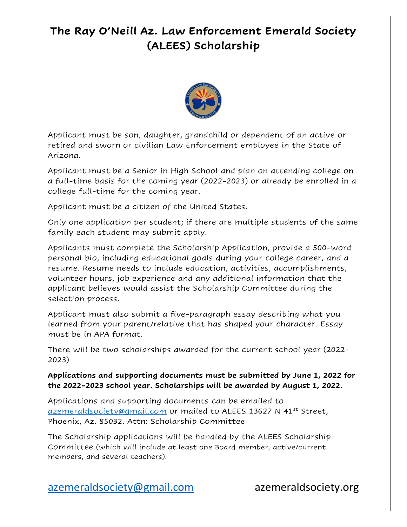## **The Ray O'Neill Az. Law Enforcement Emerald Society (ALEES) Scholarship**



Applicant must be son, daughter, grandchild or dependent of an active or retired and sworn or civilian Law Enforcement employee in the State of Arizona.

Applicant must be a Senior in High School and plan on attending college on a full-time basis for the coming year (2022-2023) or already be enrolled in a college full-time for the coming year.

Applicant must be a citizen of the United States.

Only one application per student; if there are multiple students of the same family each student may submit apply.

Applicants must complete the Scholarship Application, provide a 500-word personal bio, including educational goals during your college career, and a resume. Resume needs to include education, activities, accomplishments, volunteer hours, job experience and any additional information that the applicant believes would assist the Scholarship Committee during the selection process.

Applicant must also submit a five-paragraph essay describing what you learned from your parent/relative that has shaped your character. Essay must be in APA format.

There will be two scholarships awarded for the current school year (2022- 2023)

**Applications and supporting documents must be submitted by June 1, 2022 for the 2022-2023 school year. Scholarships will be awarded by August 1, 2022.**

Applications and supporting documents can be emailed to <u>[azemeraldsociety@gmail.com](mailto:azemeraldsociety@gmail.com)</u> or mailed to ALEES 13627 N 41<sup>st</sup> Street, Phoenix, Az. 85032. Attn: Scholarship Committee

The Scholarship applications will be handled by the ALEES Scholarship Committee (which will include at least one Board member, active/current members, and several teachers).

[azemeraldsociety@gmail.com](mailto:azemeraldsociety@gmail.com) azemeraldsociety.org